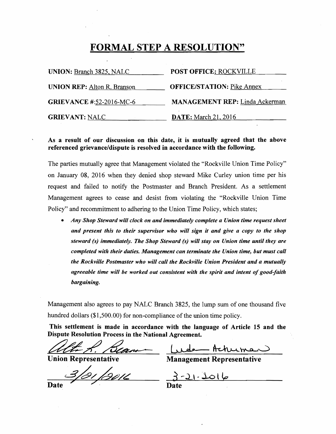# FORMAL STEP A RESOLUTION"

| UNION: Branch 3825, NALC           | <b>POST OFFICE: ROCKVILLE</b>         |
|------------------------------------|---------------------------------------|
| <b>UNION REP: Alton R. Branson</b> | <b>OFFICE/STATION: Pike Annex</b>     |
| <b>GRIEVANCE #:52-2016-MC-6</b>    | <b>MANAGEMENT REP:</b> Linda Ackerman |
| <b>GRIEVANT: NALC</b>              | <b>DATE:</b> March 21, 2016           |

### As a result of our discussion on this date, it is mutually agreed that the above referenced grievance/dispute is resolved in accordance with the following.

The parties mutually agree that Management violated the "Rockville Union Time Policy" on January 08, 2016 when they denied shop steward Mike Curley union time per his request and failed to notify the Postmaster and Branch President. As a settlement Management agrees to cease and desist from violating the "Rockville Union Time Policy" and recommitment to adhering to the Union Time Policy, which states;

*• Any Shop Steward will clock on and immediately complete a Union time request slleet and present tllis to their supervisor wllo will sign it and give a copy to the shop steward (s) immediately. The Shop Steward (s) will stay on Union time until they are completed witl, their duties. Management can terminate the Union time, but must call the Rockville Postmaster who will call the Rockville Union President and a mutually agreeable time will be worked out consistent with the spirit and intent of good-faith bargaining.* 

Management also agrees to pay NALC Branch 3825, the lump sum of one thousand five hundred dollars  $(\$1,500.00)$  for non-compliance of the union time policy.

This settlement is made in accordance with the language of Article 15 and the Dispute Resolution Process in the National Agreement. This settlement is made in accordance with the langua<br>Dispute Resolution Process in the National Agreement.<br>Union Representative Management

**Union Representative** 

Management Representative

,<br><sup>91</sup> | 201<u>1</u>

 $21 - 106$ Date

**Date**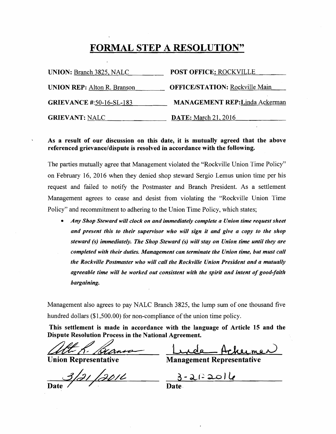# FORMAL STEP A RESOLUTION"

| <b>UNION: Branch 3825, NALC</b>    | <b>POST OFFICE: ROCKVILLE</b>         |
|------------------------------------|---------------------------------------|
| <b>UNION REP:</b> Alton R. Branson | <b>OFFICE/STATION: Rockville Main</b> |
| <b>GRIEVANCE #:50-16-SL-183</b>    | <b>MANAGEMENT REP:Linda Ackerman</b>  |
| <b>GRIEVANT: NALC</b>              | <b>DATE:</b> March 21, 2016           |

#### As a result of our discussion on this date, it is mutually agreed that the above referenced grievance/dispute is resolved in accordance with the following.

The parties mutually agree that Management violated the "Rockville Union Time Policy" on February 16, 2016 when they denied shop steward Sergio Lemus union time per his request and failed to notify the Postmaster and Branch President. As a settlement Management agrees to cease and desist from violating the "Rockville Union Time Policy" and recommitment to adhering to the Union Time Policy, which states;

*• Any Shop Steward will clock on and immediately complete a Union time request sheet and present this to tlreir supervisor who will sign it and give a copy to the shop steward (s) immediately. The Shop Steward (s) will stay on Union time until they are completed with their duties. Management can terminate the Union time, but must call the Rockville Postmaster who will call the Rockville Union President and a mutually agreeable time will be worked out consistent with the spirit and intent of good-faith bargaining.* 

Management also agrees to pay NALC Branch 3825, the lump sum of one thousand five hundred dollars (\$1,500.00) for non-compliance of the union time policy.

This settlement is made in accordance with the language of Article 15 and the Dispute Resolution Process in the National Agreement. This settlement is made in accordance with the langua<br>Dispute Resolution Process in the National Agreement.<br>Union Representative Management

**Union Representative** 

**Management Representative** 

3/21/2011

 $-2122016$ 

Date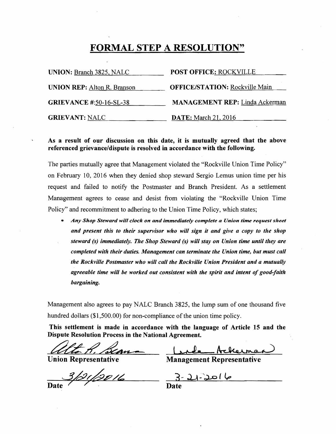### FORMAL STEP A RESOLUTION"

| <b>UNION: Branch 3825, NALC</b>    | <b>POST OFFICE: ROCKVILLE</b>         |
|------------------------------------|---------------------------------------|
| <b>UNION REP:</b> Alton R. Branson | <b>OFFICE/STATION: Rockville Main</b> |
| <b>GRIEVANCE #:50-16-SL-38</b>     | <b>MANAGEMENT REP:</b> Linda Ackerman |
| <b>GRIEVANT: NALC</b>              | <b>DATE:</b> March 21, 2016           |

#### As a result of our discussion on this date, it is mutually agreed that the above referenced grievance/dispute is resolved in accordance with the following.

The parties mutually agree that Management violated the "Rockville Union Time Policy" on February 10, 2016 when they denied shop steward Sergio Lemus union time per his request and failed to notify the Postmaster and Branch President. As a settlement Management 'agrees to cease and desist from violating the "Rockville Union Time Policy" and recommitment to adhering to the Union Time Policy, which states;

*• Any Shop Steward will clock on and immediately complete a Union time request s/Ieet and present this to their supervisor who will sign it and give a copy to the shop steward (s) immediately. The Shop Steward (s) will stay on Union time until they are completed with their duties. Management can terminate the Union time, but must call the Rockville Postmaster who will call the Rockville Union President and a mutually agreeable time will be worked out consistent with the spirit and intent of good-faith bargaining.* 

Management also agrees to pay NALC Branch 3825, the lump sum of one thousand five hundred dollars (\$1,500.00) for non-compliance of the union time policy.

This settlement is made in accordance with the language of Article 15 and the Dispute Resolution Process in the National Agreement.

**Union Representative** 

**Management Representative** 

121/2016

<u> ۱۰ مد ل</u>

Date / / Date Date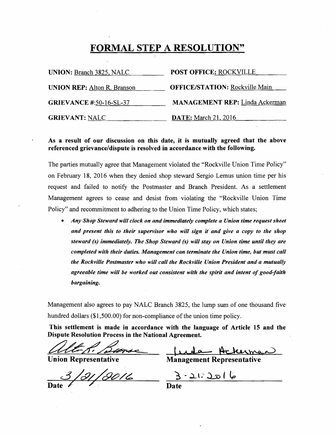#### FORMAL STEP A RESOLUTION" )

| <b>UNION:</b> Branch 3825, NALC    | POST OFFICE: ROCKVILLE                |
|------------------------------------|---------------------------------------|
| <b>UNION REP: Alton R. Branson</b> | <b>OFFICE/STATION: Rockville Main</b> |
| <b>GRIEVANCE #:50-16-SL-37</b>     | <b>MANAGEMENT REP:</b> Linda Ackerman |
| <b>GRIEVANT: NALC</b>              | <b>DATE:</b> March 21, 2016           |

#### As a result of our discussion on this date, it is mutually agreed that the above referenced grievance/dispute is resolved in accordance with the following.

The parties mutually agree that Management violated the "Rockville Union Time Policy" on February 18, 2016 when they denied shop steward Sergio Lemus union time per his request and failed to notify the Postmaster and Branch President. As a settlement Management agrees to cease and desist from violating the "Rockville Union Time Policy" and recommitment to adhering to the Union Time Policy, which states;

*• Any Shop Steward will clock on and immediately complete a Union time request sheet and present this to their supervisor who will sign it and give a copy to the shop steward (s) immediately. The Shop Steward (s) will stay on Union time until they are completed with their duties. Management can terminate the Union time, but must call the Rockville Postmaster who will call the Rockville Union President and a mutually agreeable time will be worked out consistent with the spirit and intent of good-faith bargaining.* 

Management also agrees to pay NALC Branch 3825, the lump sum of one thousand five hundred dollars  $(\$1,500.00)$  for non-compliance of the union time policy.

This settlement is made in accordance with the language of Article 15 and the representative<br>Representative<br>Representative

Dispute Resolution Process in the National Agreement.<br>Altress. Dance

Union Representative **Management** 

**Management Representative** 

Date and Date of the Date

ما امد ۱۰:۵۰